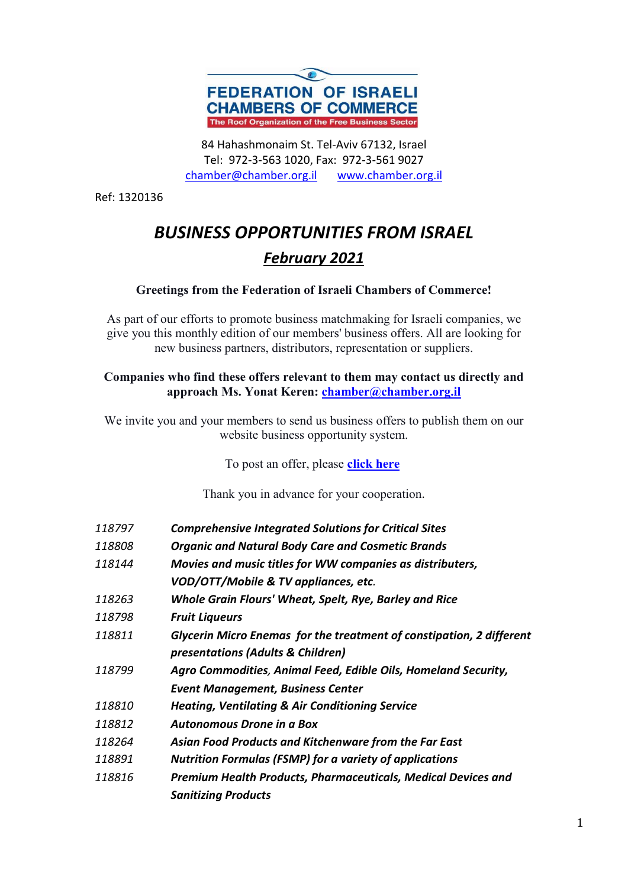

84 Hahashmonaim St. Tel-Aviv 67132, Israel Tel: 972-3-563 1020, Fax: 972-3-561 9027 chamber@chamber.org.il www.chamber.org.il

Ref: 1320136

# *BUSINESS OPPORTUNITIES FROM ISRAEL February 2021*

#### **Greetings from the Federation of Israeli Chambers of Commerce!**

As part of our efforts to promote business matchmaking for Israeli companies, we give you this monthly edition of our members' business offers. All are looking for new business partners, distributors, representation or suppliers.

#### **Companies who find these offers relevant to them may contact us directly and approach Ms. Yonat Keren: chamber@chamber.org.il**

We invite you and your members to send us business offers to publish them on our website business opportunity system.

To post an offer, please **click here**

Thank you in advance for your cooperation.

| 118797 | <b>Comprehensive Integrated Solutions for Critical Sites</b> |
|--------|--------------------------------------------------------------|
|--------|--------------------------------------------------------------|

- *118808 Organic and Natural Body Care and Cosmetic Brands*
- *118144 Movies and music titles for WW companies as distributers,*
- *VOD/OTT/Mobile & TV appliances, etc.*
- *118263 Whole Grain Flours' Wheat, Spelt, Rye, Barley and Rice*
- *118798 Fruit Liqueurs*
- *118811 Glycerin Micro Enemas for the treatment of constipation, 2 different presentations (Adults & Children)*
- *118799 Agro Commodities, Animal Feed, Edible Oils, Homeland Security, Event Management, Business Center*
- *118810 Heating, Ventilating & Air Conditioning Service*
- *118812 Autonomous Drone in a Box*
- *118264 Asian Food Products and Kitchenware from the Far East*
- *118891 Nutrition Formulas (FSMP) for a variety of applications*
- *118816 Premium Health Products, Pharmaceuticals, Medical Devices and Sanitizing Products*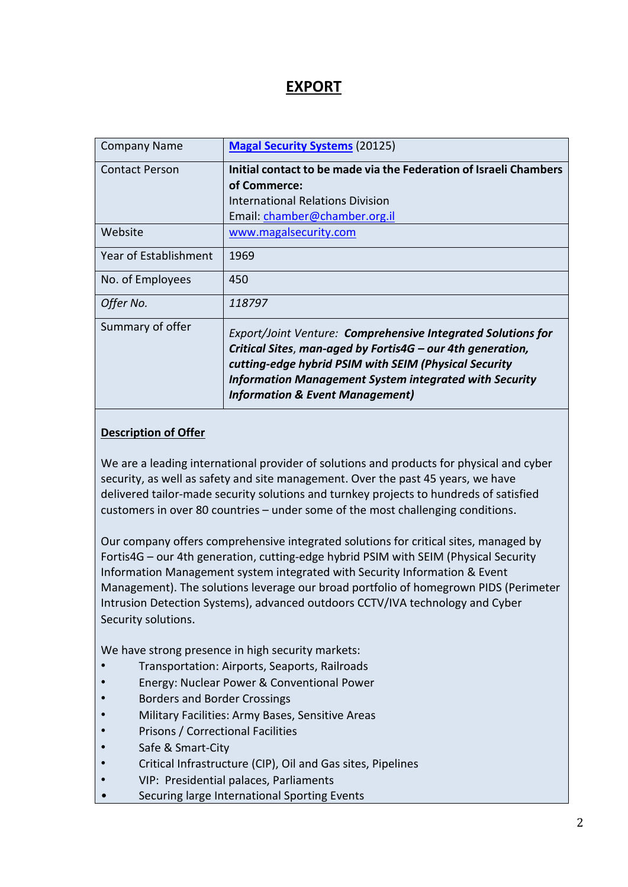# **EXPORT**

| <b>Company Name</b>   | <b>Magal Security Systems (20125)</b>                                                                                                                                                                                                                                                              |
|-----------------------|----------------------------------------------------------------------------------------------------------------------------------------------------------------------------------------------------------------------------------------------------------------------------------------------------|
| <b>Contact Person</b> | Initial contact to be made via the Federation of Israeli Chambers                                                                                                                                                                                                                                  |
|                       | of Commerce:                                                                                                                                                                                                                                                                                       |
|                       | <b>International Relations Division</b>                                                                                                                                                                                                                                                            |
|                       | Email: chamber@chamber.org.il                                                                                                                                                                                                                                                                      |
| Website               | www.magalsecurity.com                                                                                                                                                                                                                                                                              |
| Year of Establishment | 1969                                                                                                                                                                                                                                                                                               |
| No. of Employees      | 450                                                                                                                                                                                                                                                                                                |
| Offer No.             | 118797                                                                                                                                                                                                                                                                                             |
| Summary of offer      | Export/Joint Venture: Comprehensive Integrated Solutions for<br>Critical Sites, man-aged by Fortis4G - our 4th generation,<br>cutting-edge hybrid PSIM with SEIM (Physical Security<br><b>Information Management System integrated with Security</b><br><b>Information &amp; Event Management)</b> |

#### **Description of Offer**

We are a leading international provider of solutions and products for physical and cyber security, as well as safety and site management. Over the past 45 years, we have delivered tailor-made security solutions and turnkey projects to hundreds of satisfied customers in over 80 countries – under some of the most challenging conditions.

Our company offers comprehensive integrated solutions for critical sites, managed by Fortis4G – our 4th generation, cutting-edge hybrid PSIM with SEIM (Physical Security Information Management system integrated with Security Information & Event Management). The solutions leverage our broad portfolio of homegrown PIDS (Perimeter Intrusion Detection Systems), advanced outdoors CCTV/IVA technology and Cyber Security solutions.

We have strong presence in high security markets:

- Transportation: Airports, Seaports, Railroads
- Energy: Nuclear Power & Conventional Power
- Borders and Border Crossings
- Military Facilities: Army Bases, Sensitive Areas
- Prisons / Correctional Facilities
- Safe & Smart-City
- Critical Infrastructure (CIP), Oil and Gas sites, Pipelines
- VIP: Presidential palaces, Parliaments
- Securing large International Sporting Events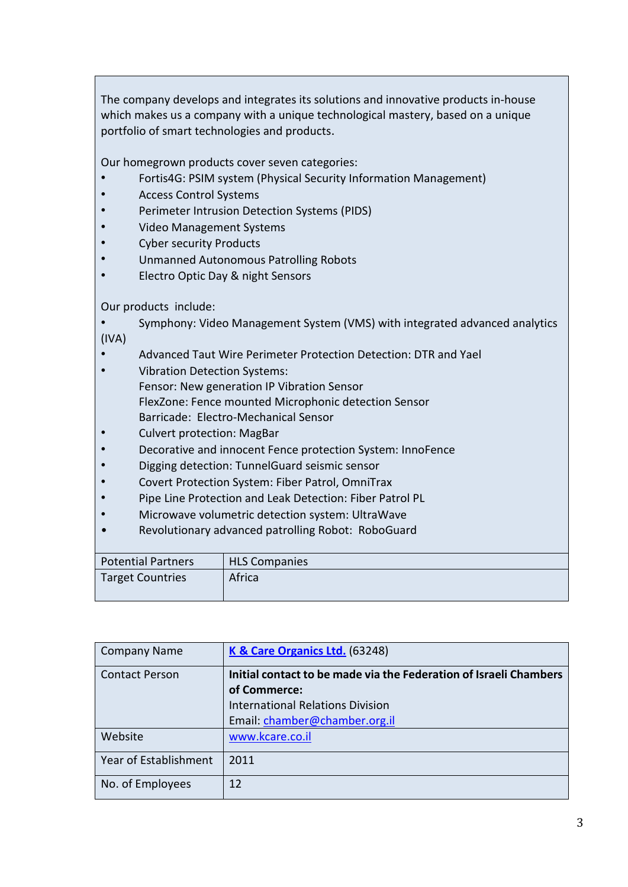The company develops and integrates its solutions and innovative products in-house which makes us a company with a unique technological mastery, based on a unique portfolio of smart technologies and products.

Our homegrown products cover seven categories:

- Fortis4G: PSIM system (Physical Security Information Management)
- Access Control Systems
- Perimeter Intrusion Detection Systems (PIDS)
- Video Management Systems
- Cyber security Products
- Unmanned Autonomous Patrolling Robots
- Electro Optic Day & night Sensors

Our products include:

- Symphony: Video Management System (VMS) with integrated advanced analytics (IVA)
- Advanced Taut Wire Perimeter Protection Detection: DTR and Yael
- Vibration Detection Systems: Fensor: New generation IP Vibration Sensor FlexZone: Fence mounted Microphonic detection Sensor Barricade: Electro-Mechanical Sensor
- Culvert protection: MagBar
- Decorative and innocent Fence protection System: InnoFence
- Digging detection: TunnelGuard seismic sensor
- Covert Protection System: Fiber Patrol, OmniTrax
- Pipe Line Protection and Leak Detection: Fiber Patrol PL
- Microwave volumetric detection system: UltraWave
- Revolutionary advanced patrolling Robot: RoboGuard

| Potential Partners | <b>HLS Companies</b> |
|--------------------|----------------------|
| Target Countries   | Africa               |

| <b>Company Name</b>   | K & Care Organics Ltd. (63248)                                                    |
|-----------------------|-----------------------------------------------------------------------------------|
| <b>Contact Person</b> | Initial contact to be made via the Federation of Israeli Chambers<br>of Commerce: |
|                       |                                                                                   |
|                       | <b>International Relations Division</b>                                           |
|                       | Email: chamber@chamber.org.il                                                     |
| Website               | www.kcare.co.il                                                                   |
| Year of Establishment | 2011                                                                              |
| No. of Employees      | 12                                                                                |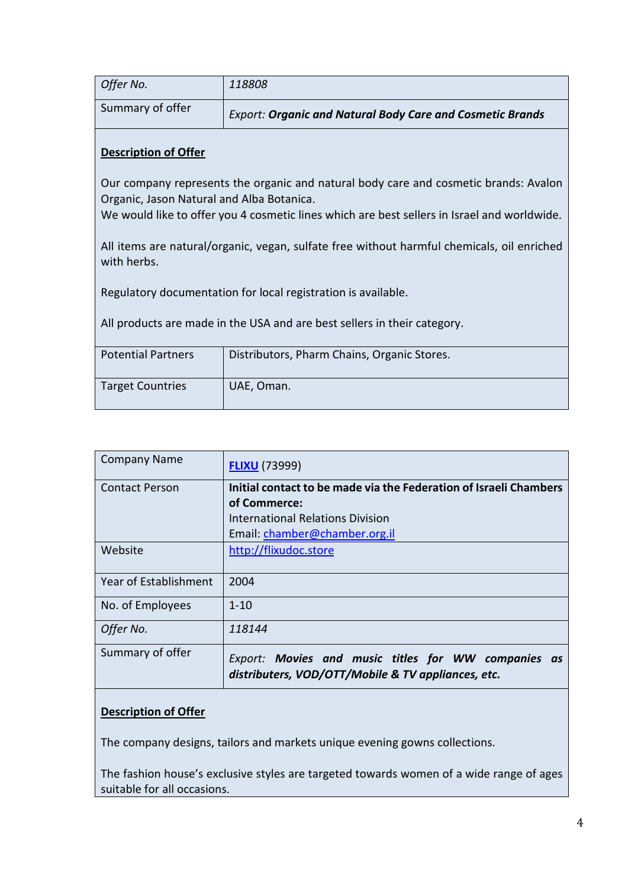| Offer No.        | 118808                                                           |
|------------------|------------------------------------------------------------------|
| Summary of offer | <b>Export: Organic and Natural Body Care and Cosmetic Brands</b> |

Our company represents the organic and natural body care and cosmetic brands: Avalon Organic, Jason Natural and Alba Botanica.

We would like to offer you 4 cosmetic lines which are best sellers in Israel and worldwide.

All items are natural/organic, vegan, sulfate free without harmful chemicals, oil enriched with herbs.

Regulatory documentation for local registration is available.

All products are made in the USA and are best sellers in their category.

| <b>Potential Partners</b> | Distributors, Pharm Chains, Organic Stores. |
|---------------------------|---------------------------------------------|
| <b>Target Countries</b>   | UAE, Oman.                                  |

| <b>Company Name</b>   | <b>FLIXU</b> (73999)                                                                                      |
|-----------------------|-----------------------------------------------------------------------------------------------------------|
| <b>Contact Person</b> | Initial contact to be made via the Federation of Israeli Chambers                                         |
|                       | of Commerce:                                                                                              |
|                       | International Relations Division                                                                          |
|                       | Email: chamber@chamber.org.il                                                                             |
| Website               | http://flixudoc.store                                                                                     |
|                       |                                                                                                           |
| Year of Establishment | 2004                                                                                                      |
| No. of Employees      | $1 - 10$                                                                                                  |
| Offer No.             | 118144                                                                                                    |
| Summary of offer      | Export: Movies and music titles for WW companies as<br>distributers, VOD/OTT/Mobile & TV appliances, etc. |

#### **Description of Offer**

The company designs, tailors and markets unique evening gowns collections.

The fashion house's exclusive styles are targeted towards women of a wide range of ages suitable for all occasions.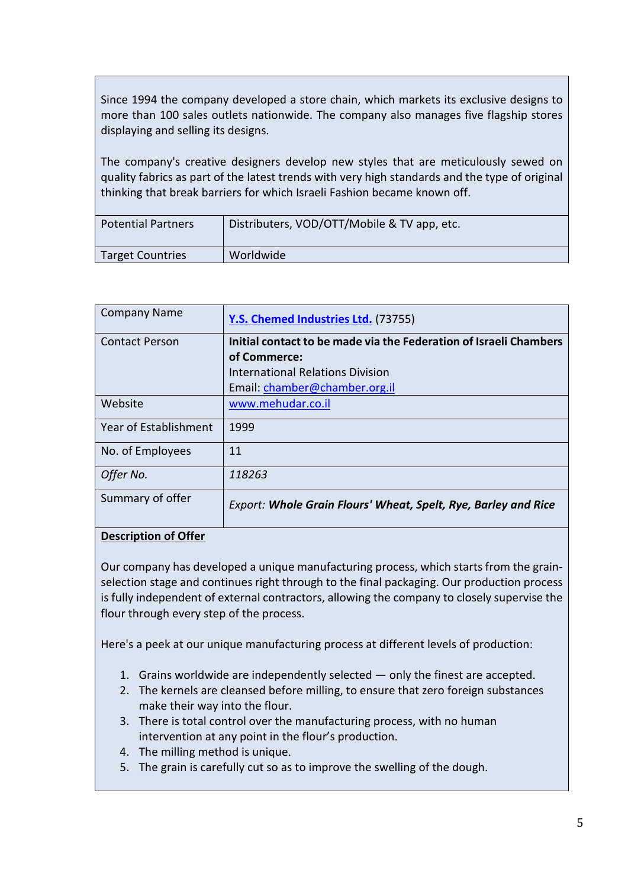Since 1994 the company developed a store chain, which markets its exclusive designs to more than 100 sales outlets nationwide. The company also manages five flagship stores displaying and selling its designs.

The company's creative designers develop new styles that are meticulously sewed on quality fabrics as part of the latest trends with very high standards and the type of original thinking that break barriers for which Israeli Fashion became known off.

| <b>Potential Partners</b> | Distributers, VOD/OTT/Mobile & TV app, etc. |
|---------------------------|---------------------------------------------|
| <b>Target Countries</b>   | Worldwide                                   |

| <b>Company Name</b>   | Y.S. Chemed Industries Ltd. (73755)                                   |
|-----------------------|-----------------------------------------------------------------------|
| <b>Contact Person</b> | Initial contact to be made via the Federation of Israeli Chambers     |
|                       | of Commerce:                                                          |
|                       | <b>International Relations Division</b>                               |
|                       | Email: chamber@chamber.org.il                                         |
| Website               | www.mehudar.co.il                                                     |
| Year of Establishment | 1999                                                                  |
| No. of Employees      | 11                                                                    |
| Offer No.             | 118263                                                                |
| Summary of offer      | <b>Export: Whole Grain Flours' Wheat, Spelt, Rye, Barley and Rice</b> |
| $1.11.11 \times 1000$ |                                                                       |

#### **Description of Offer**

Our company has developed a unique manufacturing process, which starts from the grainselection stage and continues right through to the final packaging. Our production process is fully independent of external contractors, allowing the company to closely supervise the flour through every step of the process.

Here's a peek at our unique manufacturing process at different levels of production:

- 1. Grains worldwide are independently selected only the finest are accepted.
- 2. The kernels are cleansed before milling, to ensure that zero foreign substances make their way into the flour.
- 3. There is total control over the manufacturing process, with no human intervention at any point in the flour's production.
- 4. The milling method is unique.
- 5. The grain is carefully cut so as to improve the swelling of the dough.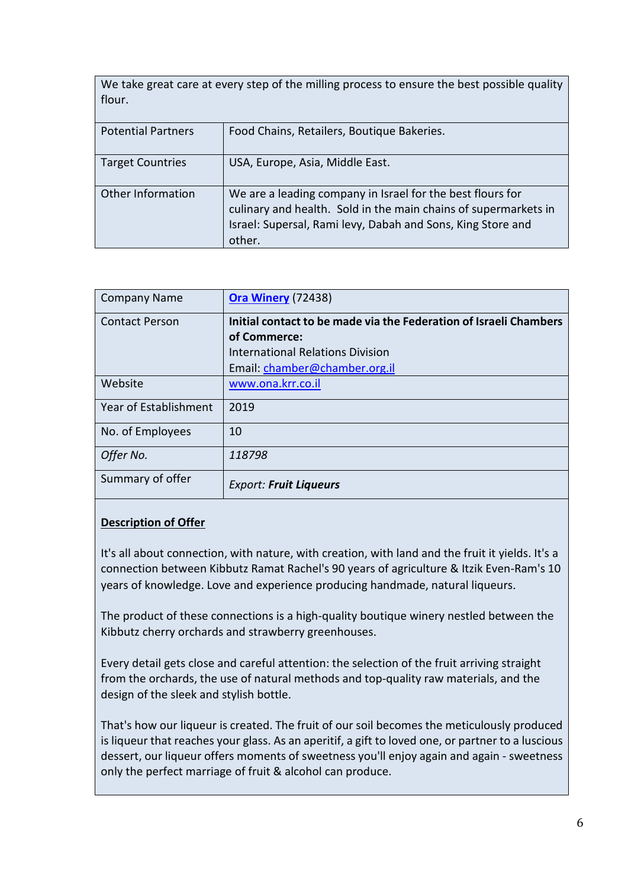| We take great care at every step of the milling process to ensure the best possible quality<br>flour. |                                            |
|-------------------------------------------------------------------------------------------------------|--------------------------------------------|
| <b>Potential Partners</b>                                                                             | Food Chains, Retailers, Boutique Bakeries. |
| <b>Target Countries</b>                                                                               | USA, Europe, Asia, Middle East.            |

| Other Information | We are a leading company in Israel for the best flours for      |
|-------------------|-----------------------------------------------------------------|
|                   | culinary and health. Sold in the main chains of supermarkets in |
|                   | Israel: Supersal, Rami levy, Dabah and Sons, King Store and     |
|                   | other.                                                          |

| <b>Company Name</b>   | <b>Ora Winery (72438)</b>                                         |
|-----------------------|-------------------------------------------------------------------|
| <b>Contact Person</b> | Initial contact to be made via the Federation of Israeli Chambers |
|                       | of Commerce:                                                      |
|                       | <b>International Relations Division</b>                           |
|                       | Email: chamber@chamber.org.il                                     |
| Website               | www.ona.krr.co.il                                                 |
| Year of Establishment | 2019                                                              |
| No. of Employees      | 10                                                                |
| Offer No.             | 118798                                                            |
| Summary of offer      | <b>Export: Fruit Liqueurs</b>                                     |

It's all about connection, with nature, with creation, with land and the fruit it yields. It's a connection between Kibbutz Ramat Rachel's 90 years of agriculture & Itzik Even-Ram's 10 years of knowledge. Love and experience producing handmade, natural liqueurs.

The product of these connections is a high-quality boutique winery nestled between the Kibbutz cherry orchards and strawberry greenhouses.

Every detail gets close and careful attention: the selection of the fruit arriving straight from the orchards, the use of natural methods and top-quality raw materials, and the design of the sleek and stylish bottle.

That's how our liqueur is created. The fruit of our soil becomes the meticulously produced is liqueur that reaches your glass. As an aperitif, a gift to loved one, or partner to a luscious dessert, our liqueur offers moments of sweetness you'll enjoy again and again - sweetness only the perfect marriage of fruit & alcohol can produce.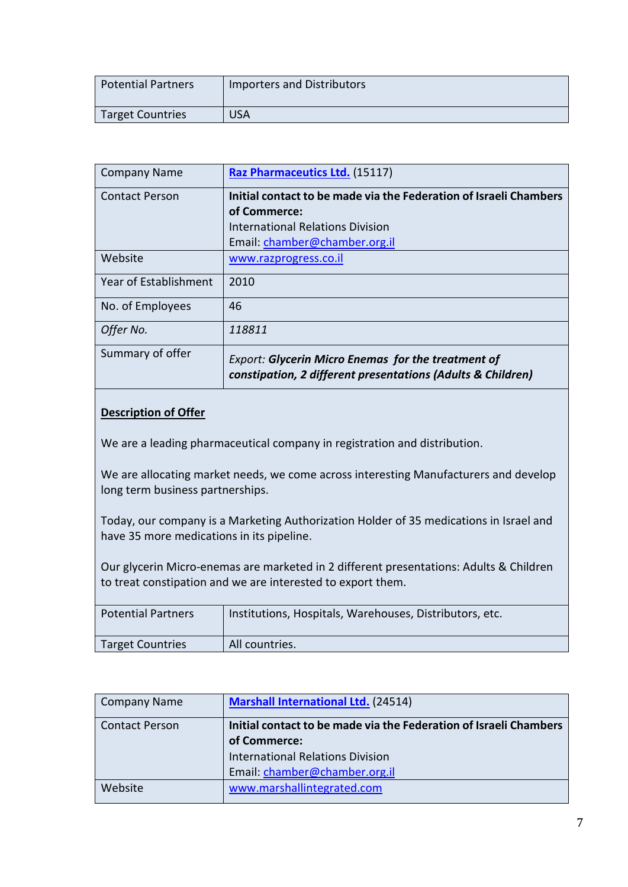| Potential Partners | <b>Importers and Distributors</b> |
|--------------------|-----------------------------------|
| Target Countries   | USA                               |

| <b>Company Name</b>   | Raz Pharmaceutics Ltd. (15117)                                                                                           |
|-----------------------|--------------------------------------------------------------------------------------------------------------------------|
| <b>Contact Person</b> | Initial contact to be made via the Federation of Israeli Chambers                                                        |
|                       | of Commerce:                                                                                                             |
|                       | International Relations Division                                                                                         |
|                       | Email: chamber@chamber.org.il                                                                                            |
| Website               | www.razprogress.co.il                                                                                                    |
| Year of Establishment | 2010                                                                                                                     |
| No. of Employees      | 46                                                                                                                       |
| Offer No.             | 118811                                                                                                                   |
| Summary of offer      | <b>Export: Glycerin Micro Enemas for the treatment of</b><br>constipation, 2 different presentations (Adults & Children) |

We are a leading pharmaceutical company in registration and distribution.

We are allocating market needs, we come across interesting Manufacturers and develop long term business partnerships.

Today, our company is a Marketing Authorization Holder of 35 medications in Israel and have 35 more medications in its pipeline.

Our glycerin Micro-enemas are marketed in 2 different presentations: Adults & Children to treat constipation and we are interested to export them.

| <b>Potential Partners</b> | Institutions, Hospitals, Warehouses, Distributors, etc. |
|---------------------------|---------------------------------------------------------|
| <b>Target Countries</b>   | All countries.                                          |

| Company Name          | <b>Marshall International Ltd. (24514)</b>                        |
|-----------------------|-------------------------------------------------------------------|
| <b>Contact Person</b> | Initial contact to be made via the Federation of Israeli Chambers |
|                       | of Commerce:                                                      |
|                       | <b>International Relations Division</b>                           |
|                       | Email: chamber@chamber.org.il                                     |
| Website               | www.marshallintegrated.com                                        |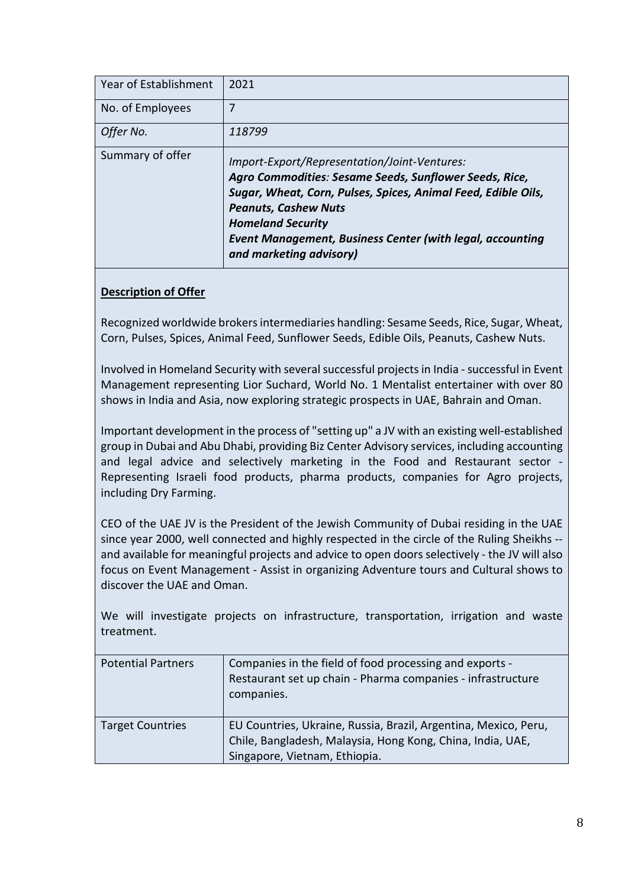| Year of Establishment | 2021                                                                                                                                                                                                                                                                                                                              |
|-----------------------|-----------------------------------------------------------------------------------------------------------------------------------------------------------------------------------------------------------------------------------------------------------------------------------------------------------------------------------|
| No. of Employees      | 7                                                                                                                                                                                                                                                                                                                                 |
| Offer No.             | 118799                                                                                                                                                                                                                                                                                                                            |
| Summary of offer      | Import-Export/Representation/Joint-Ventures:<br>Agro Commodities: Sesame Seeds, Sunflower Seeds, Rice,<br>Sugar, Wheat, Corn, Pulses, Spices, Animal Feed, Edible Oils,<br><b>Peanuts, Cashew Nuts</b><br><b>Homeland Security</b><br><b>Event Management, Business Center (with legal, accounting</b><br>and marketing advisory) |

Recognized worldwide brokers intermediaries handling: Sesame Seeds, Rice, Sugar, Wheat, Corn, Pulses, Spices, Animal Feed, Sunflower Seeds, Edible Oils, Peanuts, Cashew Nuts.

Involved in Homeland Security with several successful projects in India - successful in Event Management representing Lior Suchard, World No. 1 Mentalist entertainer with over 80 shows in India and Asia, now exploring strategic prospects in UAE, Bahrain and Oman.

Important development in the process of "setting up" a JV with an existing well-established group in Dubai and Abu Dhabi, providing Biz Center Advisory services, including accounting and legal advice and selectively marketing in the Food and Restaurant sector - Representing Israeli food products, pharma products, companies for Agro projects, including Dry Farming.

CEO of the UAE JV is the President of the Jewish Community of Dubai residing in the UAE since year 2000, well connected and highly respected in the circle of the Ruling Sheikhs - and available for meaningful projects and advice to open doors selectively - the JV will also focus on Event Management - Assist in organizing Adventure tours and Cultural shows to discover the UAE and Oman.

We will investigate projects on infrastructure, transportation, irrigation and waste treatment.

| <b>Potential Partners</b> | Companies in the field of food processing and exports -<br>Restaurant set up chain - Pharma companies - infrastructure<br>companies.                           |
|---------------------------|----------------------------------------------------------------------------------------------------------------------------------------------------------------|
| <b>Target Countries</b>   | EU Countries, Ukraine, Russia, Brazil, Argentina, Mexico, Peru,<br>Chile, Bangladesh, Malaysia, Hong Kong, China, India, UAE,<br>Singapore, Vietnam, Ethiopia. |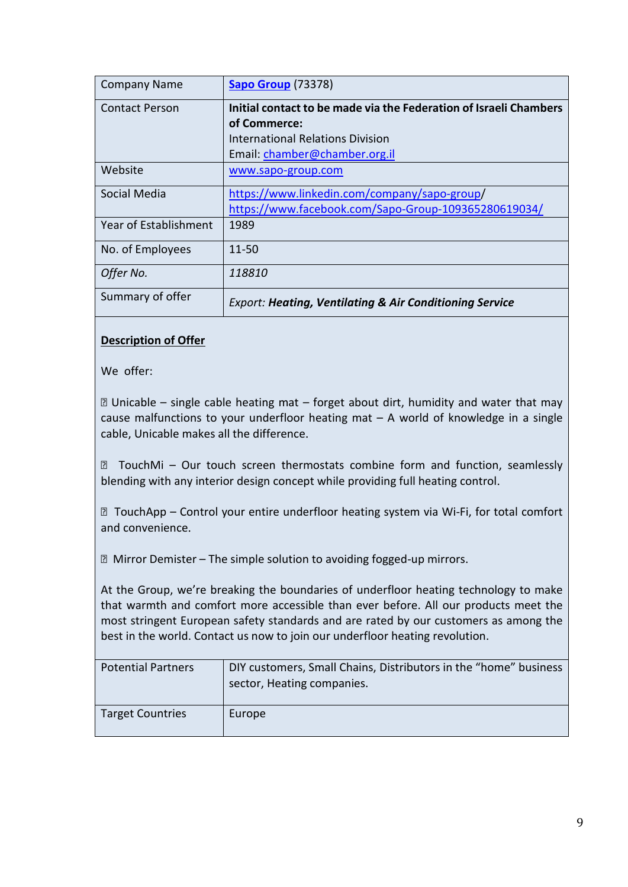| <b>Company Name</b>   | <b>Sapo Group (73378)</b>                                          |
|-----------------------|--------------------------------------------------------------------|
| <b>Contact Person</b> | Initial contact to be made via the Federation of Israeli Chambers  |
|                       | of Commerce:                                                       |
|                       | <b>International Relations Division</b>                            |
|                       | Email: chamber@chamber.org.il                                      |
| Website               | www.sapo-group.com                                                 |
| Social Media          | https://www.linkedin.com/company/sapo-group/                       |
|                       | https://www.facebook.com/Sapo-Group-109365280619034/               |
| Year of Establishment | 1989                                                               |
| No. of Employees      | $11 - 50$                                                          |
| Offer No.             | 118810                                                             |
| Summary of offer      | <b>Export: Heating, Ventilating &amp; Air Conditioning Service</b> |

We offer:

 Unicable – single cable heating mat – forget about dirt, humidity and water that may cause malfunctions to your underfloor heating mat – A world of knowledge in a single cable, Unicable makes all the difference.

 TouchMi – Our touch screen thermostats combine form and function, seamlessly blending with any interior design concept while providing full heating control.

 TouchApp – Control your entire underfloor heating system via Wi-Fi, for total comfort and convenience.

Mirror Demister – The simple solution to avoiding fogged-up mirrors.

At the Group, we're breaking the boundaries of underfloor heating technology to make that warmth and comfort more accessible than ever before. All our products meet the most stringent European safety standards and are rated by our customers as among the best in the world. Contact us now to join our underfloor heating revolution.

| <b>Potential Partners</b> | DIY customers, Small Chains, Distributors in the "home" business<br>sector, Heating companies. |
|---------------------------|------------------------------------------------------------------------------------------------|
| <b>Target Countries</b>   | Europe                                                                                         |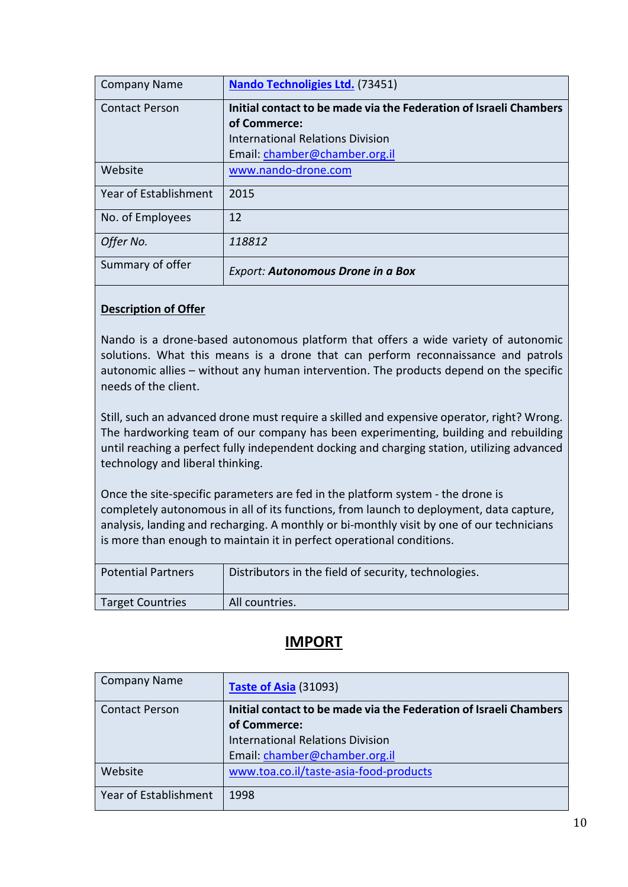| <b>Company Name</b>   | <b>Nando Technoligies Ltd.</b> (73451)                            |
|-----------------------|-------------------------------------------------------------------|
| <b>Contact Person</b> | Initial contact to be made via the Federation of Israeli Chambers |
|                       | of Commerce:                                                      |
|                       | International Relations Division                                  |
|                       | Email: chamber@chamber.org.il                                     |
| Website               | www.nando-drone.com                                               |
| Year of Establishment | 2015                                                              |
| No. of Employees      | 12                                                                |
| Offer No.             | 118812                                                            |
| Summary of offer      | <b>Export: Autonomous Drone in a Box</b>                          |

Nando is a drone-based autonomous platform that offers a wide variety of autonomic solutions. What this means is a drone that can perform reconnaissance and patrols autonomic allies – without any human intervention. The products depend on the specific needs of the client.

Still, such an advanced drone must require a skilled and expensive operator, right? Wrong. The hardworking team of our company has been experimenting, building and rebuilding until reaching a perfect fully independent docking and charging station, utilizing advanced technology and liberal thinking.

Once the site-specific parameters are fed in the platform system - the drone is completely autonomous in all of its functions, from launch to deployment, data capture, analysis, landing and recharging. A monthly or bi-monthly visit by one of our technicians is more than enough to maintain it in perfect operational conditions.

| <b>Potential Partners</b> | Distributors in the field of security, technologies. |
|---------------------------|------------------------------------------------------|
| <b>Target Countries</b>   | All countries.                                       |

# **IMPORT**

| <b>Company Name</b>   | Taste of Asia (31093)                                             |
|-----------------------|-------------------------------------------------------------------|
| <b>Contact Person</b> | Initial contact to be made via the Federation of Israeli Chambers |
|                       | of Commerce:                                                      |
|                       | <b>International Relations Division</b>                           |
|                       | Email: chamber@chamber.org.il                                     |
| Website               | www.toa.co.il/taste-asia-food-products                            |
| Year of Establishment | 1998                                                              |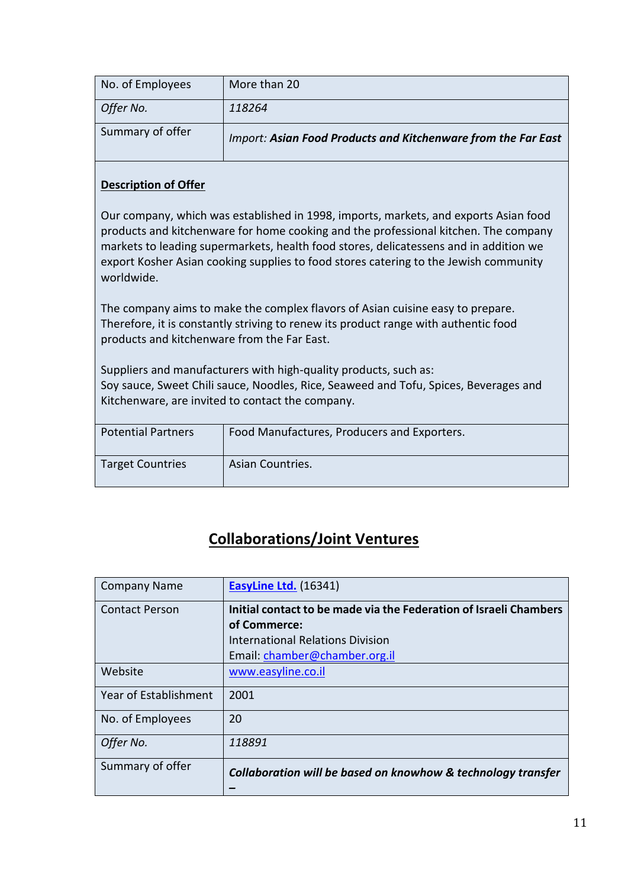| No. of Employees | More than 20                                                  |
|------------------|---------------------------------------------------------------|
| Offer No.        | 118264                                                        |
| Summary of offer | Import: Asian Food Products and Kitchenware from the Far East |

Our company, which was established in 1998, imports, markets, and exports Asian food products and kitchenware for home cooking and the professional kitchen. The company markets to leading supermarkets, health food stores, delicatessens and in addition we export Kosher Asian cooking supplies to food stores catering to the Jewish community worldwide.

The company aims to make the complex flavors of Asian cuisine easy to prepare. Therefore, it is constantly striving to renew its product range with authentic food products and kitchenware from the Far East.

Suppliers and manufacturers with high-quality products, such as: Soy sauce, Sweet Chili sauce, Noodles, Rice, Seaweed and Tofu, Spices, Beverages and Kitchenware, are invited to contact the company.

| <b>Potential Partners</b> | Food Manufactures, Producers and Exporters. |
|---------------------------|---------------------------------------------|
| <b>Target Countries</b>   | Asian Countries.                            |

# **Collaborations/Joint Ventures**

| <b>Company Name</b>   | <b>EasyLine Ltd.</b> (16341)                                      |
|-----------------------|-------------------------------------------------------------------|
| <b>Contact Person</b> | Initial contact to be made via the Federation of Israeli Chambers |
|                       | of Commerce:                                                      |
|                       | International Relations Division                                  |
|                       | Email: chamber@chamber.org.il                                     |
| Website               | www.easyline.co.il                                                |
| Year of Establishment | 2001                                                              |
| No. of Employees      | 20                                                                |
| Offer No.             | 118891                                                            |
| Summary of offer      | Collaboration will be based on knowhow & technology transfer      |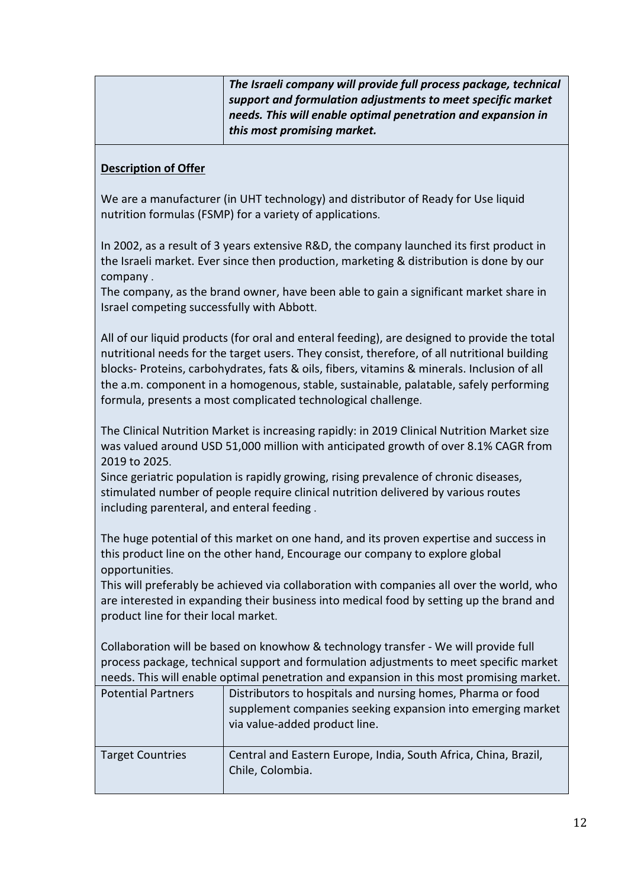| The Israeli company will provide full process package, technical |
|------------------------------------------------------------------|
| support and formulation adjustments to meet specific market      |
| needs. This will enable optimal penetration and expansion in     |
| this most promising market.                                      |

We are a manufacturer (in UHT technology) and distributor of Ready for Use liquid nutrition formulas (FSMP) for a variety of applications.

In 2002, as a result of 3 years extensive R&D, the company launched its first product in the Israeli market. Ever since then production, marketing & distribution is done by our company .

The company, as the brand owner, have been able to gain a significant market share in Israel competing successfully with Abbott.

All of our liquid products (for oral and enteral feeding), are designed to provide the total nutritional needs for the target users. They consist, therefore, of all nutritional building blocks- Proteins, carbohydrates, fats & oils, fibers, vitamins & minerals. Inclusion of all the a.m. component in a homogenous, stable, sustainable, palatable, safely performing formula, presents a most complicated technological challenge.

The Clinical Nutrition Market is increasing rapidly: in 2019 Clinical Nutrition Market size was valued around USD 51,000 million with anticipated growth of over 8.1% CAGR from 2019 to 2025.

Since geriatric population is rapidly growing, rising prevalence of chronic diseases, stimulated number of people require clinical nutrition delivered by various routes including parenteral, and enteral feeding .

The huge potential of this market on one hand, and its proven expertise and success in this product line on the other hand, Encourage our company to explore global opportunities.

This will preferably be achieved via collaboration with companies all over the world, who are interested in expanding their business into medical food by setting up the brand and product line for their local market.

Collaboration will be based on knowhow & technology transfer - We will provide full process package, technical support and formulation adjustments to meet specific market needs. This will enable optimal penetration and expansion in this most promising market.

| <b>Potential Partners</b> | Distributors to hospitals and nursing homes, Pharma or food<br>supplement companies seeking expansion into emerging market<br>via value-added product line. |
|---------------------------|-------------------------------------------------------------------------------------------------------------------------------------------------------------|
| <b>Target Countries</b>   | Central and Eastern Europe, India, South Africa, China, Brazil,<br>Chile, Colombia.                                                                         |